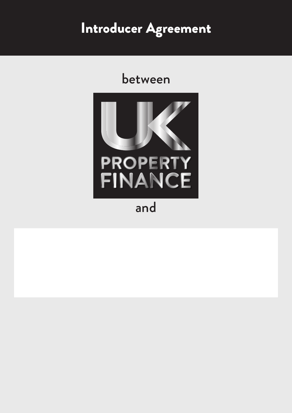# Introducer Agreement

## between



and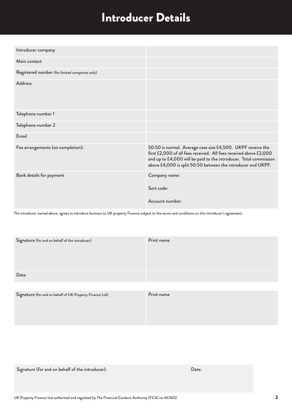### Introducer Details

| Introducer company                             |                                                                                                                                                                                                                                                                       |
|------------------------------------------------|-----------------------------------------------------------------------------------------------------------------------------------------------------------------------------------------------------------------------------------------------------------------------|
| Main contact                                   |                                                                                                                                                                                                                                                                       |
| Registered number (for limited companies only) |                                                                                                                                                                                                                                                                       |
| <b>Address</b>                                 |                                                                                                                                                                                                                                                                       |
| Telephone number 1                             |                                                                                                                                                                                                                                                                       |
| Telephone number 2                             |                                                                                                                                                                                                                                                                       |
| Email                                          |                                                                                                                                                                                                                                                                       |
| Fee arrangements (on completion):              | 50:50 is normal. Average case size £4,500. UKPF receive the<br>first £2,000 of all fees received. All fees received above £2,000<br>and up to £4,000 will be paid to the introducer. Total commission<br>above £4,000 is split 50:50 between the introducer and UKPF. |
| Bank details for payment                       | Company name:<br>Sort code:<br>Account number:                                                                                                                                                                                                                        |

The introducer named above, agrees to introduce business to UK property Finance subject to the terms and conditions on this introducer's agreement.

| Print name |
|------------|
|            |
|            |
|            |
|            |
|            |

| Signature (for and on behalf of UK Property Finance Ltd) | Print name |
|----------------------------------------------------------|------------|
|                                                          |            |
|                                                          |            |
|                                                          |            |
|                                                          |            |

Signature (for and on behalf of the introducer): Date: Date: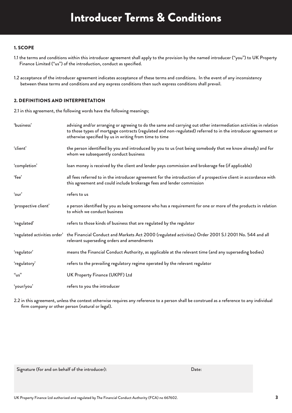### Introducer Terms & Conditions

#### 1. SCOPE

- 1.1 the terms and conditions within this introducer agreement shall apply to the provision by the named introducer ("you") to UK Property Finance Limited ("us") of the introduction, conduct as specified.
- 1.2 acceptance of the introducer agreement indicates acceptance of these terms and conditions. In the event of any inconsistency between these terms and conditions and any express conditions then such express conditions shall prevail.

#### 2. DEFINITIONS AND INTERPRETATION

2.1 in this agreement, the following words have the following meanings;

| 'business'           | advising and/or arranging or agreeing to do the same and carrying out other intermediation activities in relation<br>to those types of mortgage contracts (regulated and non-regulated) referred to in the introducer agreement or<br>otherwise specified by us in writing from time to time |
|----------------------|----------------------------------------------------------------------------------------------------------------------------------------------------------------------------------------------------------------------------------------------------------------------------------------------|
| 'client'             | the person identified by you and introduced by you to us (not being somebody that we know already) and for<br>whom we subsequently conduct business                                                                                                                                          |
| 'completion'         | loan money is received by the client and lender pays commission and brokerage fee (if applicable)                                                                                                                                                                                            |
| 'fee'                | all fees referred to in the introducer agreement for the introduction of a prospective client in accordance with<br>this agreement and could include brokerage fees and lender commission                                                                                                    |
| 'our'                | refers to us                                                                                                                                                                                                                                                                                 |
| 'prospective client' | a person identified by you as being someone who has a requirement for one or more of the products in relation<br>to which we conduct business                                                                                                                                                |
| 'regulated'          | refers to those kinds of business that are regulated by the regulator                                                                                                                                                                                                                        |
|                      | 'regulated activities order' the Financial Conduct and Markets Act 2000 (regulated activities) Order 2001 S.I 2001 No. 544 and all<br>relevant superseding orders and amendments                                                                                                             |
| 'regulator'          | means the Financial Conduct Authority, as applicable at the relevant time (and any superseding bodies)                                                                                                                                                                                       |
| 'regulatory'         | refers to the prevailing regulatory regime operated by the relevant regulator                                                                                                                                                                                                                |
| "us"                 | UK Property Finance (UKPF) Ltd                                                                                                                                                                                                                                                               |
| 'your/you'           | refers to you the introducer                                                                                                                                                                                                                                                                 |

2.2 in this agreement, unless the context otherwise requires any reference to a person shall be construed as a reference to any individual firm company or other person (natural or legal).

Signature (for and on behalf of the introducer): Date: Date: Date: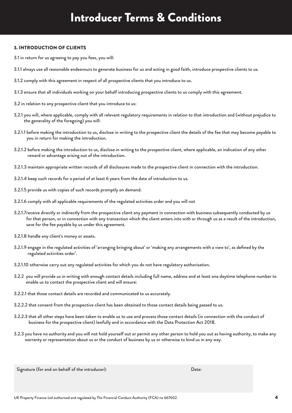### Introducer Terms & Conditions

#### 3. INTRODUCTION OF CLIENTS

- 3.1 in return for us agreeing to pay you fees, you will:
- 3.1.1 always use all reasonable endeavours to generate business for us and acting in good faith, introduce prospective clients to us.
- 3.1.2 comply with this agreement in respect of all prospective clients that you introduce to us.
- 3.1.3 ensure that all individuals working on your behalf introducing prospective clients to us comply with this agreement.
- 3.2 in relation to any prospective client that you introduce to us:
- 3.2.1 you will, where applicable, comply with all relevant regulatory requirements in relation to that introduction and (without prejudice to the generality of the foregoing) you will:
- 3.2.1.1 before making the introduction to us, disclose in writing to the prospective client the details of the fee that may become payable to you in return for making the introduction.
- 3.2.1.2 before making the introduction to us, disclose in writing to the prospective client, where applicable, an indication of any other reward or advantage arising out of the introduction.
- 3.2.1.3 maintain appropriate written records of all disclosures made to the prospective client in connection with the introduction.
- 3.2.1.4 keep such records for a period of at least 6 years from the date of introduction to us.
- 3.2.1.5 provide us with copies of such records promptly on demand.
- 3.2.1.6 comply with all applicable requirements of the regulated activities order and you will not
- 3.2.1.7receive directly or indirectly from the prospective client any payment in connection with business subsequently conducted by us for that person, or in connection with any transaction which the client enters into with or through us as a result of the introduction, save for the fee payable by us under this agreement.
- 3.2.1.8 handle any client's money or assets.
- 3.2.1.9 engage in the regulated activities of 'arranging bringing about' or 'making any arrangements with a view to', as defined by the regulated activities order'.
- 3.2.1.10 otherwise carry out any regulated activities for which you do not have regulatory authorisation.
- 3.2.2 you will provide us in writing with enough contact details including full name, address and at least one daytime telephone number to enable us to contact the prospective client and will ensure:
- 3.2.2.1 that those contact details are recorded and communicated to us accurately.
- 3.2.2.2 that consent from the prospective client has been obtained to those contact details being passed to us.
- 3.2.2.3 that all other steps have been taken to enable us to use and process those contact details (in connection with the conduct of business for the prospective client) lawfully and in accordance with the Data Protection Act 2018.
- 3.2.3 you have no authority and you will not hold yourself out or permit any other person to hold you out as having authority, to make any warranty or representation about us or the conduct of business by us or otherwise to bind us in any way.

Signature (for and on behalf of the introducer):  $\qquad \qquad$  Date: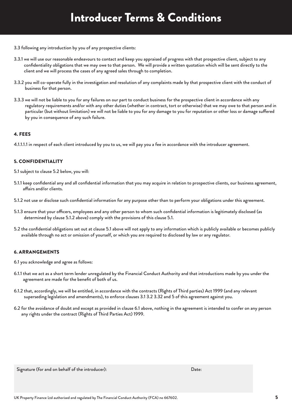- 3.3 following any introduction by you of any prospective clients:
- 3.3.1 we will use our reasonable endeavours to contact and keep you appraised of progress with that prospective client, subject to any confidentiality obligations that we may owe to that person. We will provide a written quotation which will be sent directly to the client and we will process the cases of any agreed sales through to completion.
- 3.3.2 you will co-operate fully in the investigation and resolution of any complaints made by that prospective client with the conduct of business for that person.
- 3.3.3 we will not be liable to you for any failures on our part to conduct business for the prospective client in accordance with any regulatory requirements and/or with any other duties (whether in contract, tort or otherwise) that we may owe to that person and in particular (but without limitation) we will not be liable to you for any damage to you for reputation or other loss or damage suffered by you in consequence of any such failure.

#### 4. FEES

4.1.1.1.1 in respect of each client introduced by you to us, we will pay you a fee in accordance with the introducer agreement.

#### 5. CONFIDENTIALITY

5.1 subject to clause 5.2 below, you will:

- 5.1.1 keep confidential any and all confidential information that you may acquire in relation to prospective clients, our business agreement, affairs and/or clients.
- 5.1.2 not use or disclose such confidential information for any purpose other than to perform your obligations under this agreement.
- 5.1.3 ensure that your officers, employees and any other person to whom such confidential information is legitimately disclosed (as determined by clause 5.1.2 above) comply with the provisions of this clause 5.1.
- 5.2 the confidential obligations set out at clause 5.1 above will not apply to any information which is publicly available or becomes publicly available through no act or omission of yourself, or which you are required to disclosed by law or any regulator.

#### 6. ARRANGEMENTS

6.1 you acknowledge and agree as follows:

- 6.1.1 that we act as a short term lender unregulated by the Financial Conduct Authority and that introductions made by you under the agreement are made for the benefit of both of us.
- 6.1.2 that, accordingly, we will be entitled, in accordance with the contracts (Rights of Third parties) Act 1999 (and any relevant superseding legislation and amendments), to enforce clauses 3.1 3.2 3.32 and 5 of this agreement against you.
- 6.2 for the avoidance of doubt and except as provided in clause 6.1 above, nothing in the agreement is intended to confer on any person any rights under the contract (Rights of Third Parties Act) 1999.

Signature (for and on behalf of the introducer): Date: